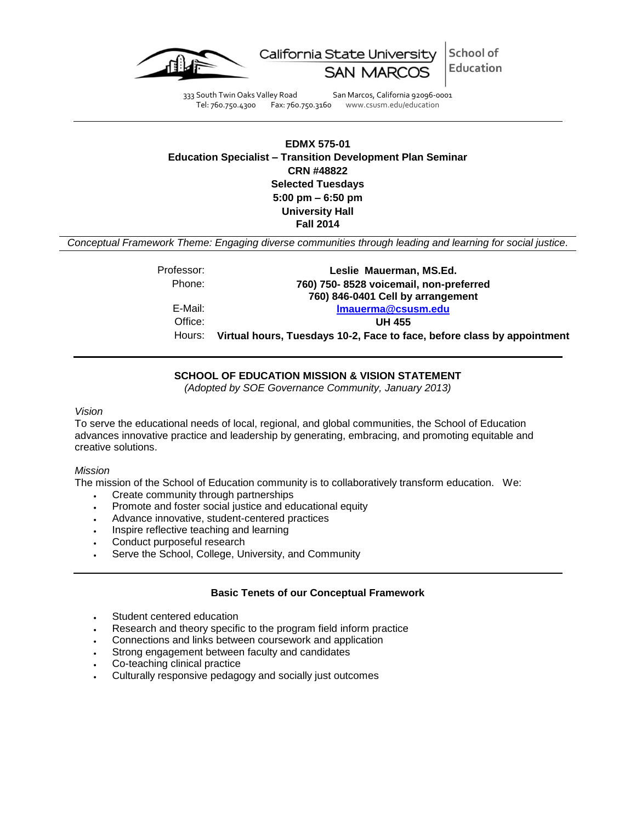

School of California State University Education

333 South Twin Oaks Valley Road San Marcos, California 92096-0001 Tel: 760.750.4300 Fax: 760.750.3160 www.csusm.edu/education

**EDMX 575-01 Education Specialist – Transition Development Plan Seminar CRN #48822 Selected Tuesdays 5:00 pm – 6:50 pm University Hall Fall 2014**

*Conceptual Framework Theme: Engaging diverse communities through leading and learning for social justice.*

Professor: **Leslie Mauerman, MS.Ed.** Phone: **760) 750- 8528 voicemail, non-preferred 760) 846-0401 Cell by arrangement** E-Mail: **[lmauerma@csusm.edu](mailto:lmauerma@csusm.edu)** Office: **UH 455** Hours: **Virtual hours, Tuesdays 10-2, Face to face, before class by appointment**

## **SCHOOL OF EDUCATION MISSION & VISION STATEMENT**

*(Adopted by SOE Governance Community, January 2013)*

### *Vision*

To serve the educational needs of local, regional, and global communities, the School of Education advances innovative practice and leadership by generating, embracing, and promoting equitable and creative solutions.

#### *Mission*

The mission of the School of Education community is to collaboratively transform education. We:

- Create community through partnerships
- Promote and foster social justice and educational equity
- Advance innovative, student-centered practices
- Inspire reflective teaching and learning
- Conduct purposeful research
- Serve the School, College, University, and Community

## **Basic Tenets of our Conceptual Framework**

- Student centered education
- Research and theory specific to the program field inform practice
- Connections and links between coursework and application
- Strong engagement between faculty and candidates
- Co-teaching clinical practice
- Culturally responsive pedagogy and socially just outcomes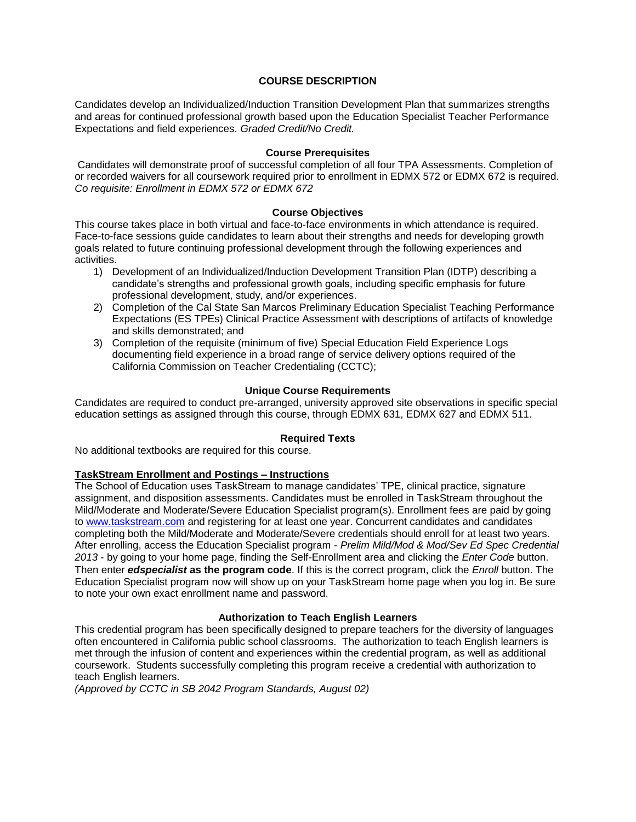## **COURSE DESCRIPTION**

Candidates develop an Individualized/Induction Transition Development Plan that summarizes strengths and areas for continued professional growth based upon the Education Specialist Teacher Performance Expectations and field experiences. *Graded Credit/No Credit.*

### **Course Prerequisites**

Candidates will demonstrate proof of successful completion of all four TPA Assessments. Completion of or recorded waivers for all coursework required prior to enrollment in EDMX 572 or EDMX 672 is required. *Co requisite: Enrollment in EDMX 572 or EDMX 672*

## **Course Objectives**

This course takes place in both virtual and face-to-face environments in which attendance is required. Face-to-face sessions guide candidates to learn about their strengths and needs for developing growth goals related to future continuing professional development through the following experiences and activities.

- 1) Development of an Individualized/Induction Development Transition Plan (IDTP) describing a candidate's strengths and professional growth goals, including specific emphasis for future professional development, study, and/or experiences.
- 2) Completion of the Cal State San Marcos Preliminary Education Specialist Teaching Performance Expectations (ES TPEs) Clinical Practice Assessment with descriptions of artifacts of knowledge and skills demonstrated; and
- 3) Completion of the requisite (minimum of five) Special Education Field Experience Logs documenting field experience in a broad range of service delivery options required of the California Commission on Teacher Credentialing (CCTC);

## **Unique Course Requirements**

Candidates are required to conduct pre-arranged, university approved site observations in specific special education settings as assigned through this course, through EDMX 631, EDMX 627 and EDMX 511.

## **Required Texts**

No additional textbooks are required for this course.

## **TaskStream Enrollment and Postings – Instructions**

The School of Education uses TaskStream to manage candidates' TPE, clinical practice, signature assignment, and disposition assessments. Candidates must be enrolled in TaskStream throughout the Mild/Moderate and Moderate/Severe Education Specialist program(s). Enrollment fees are paid by going to [www.taskstream.com](https://bl2prd0510.outlook.com/owa/redir.aspx?C=BCCRQqSYiUGfF8D5o1hWda_4K252ddAIWfHJ-9hEDukuBafQrA7uFT9QzjT3BGXTnuKNALZtCyo.&URL=http%3a%2f%2fwww.taskstrem.com%2f) and registering for at least one year. Concurrent candidates and candidates completing both the Mild/Moderate and Moderate/Severe credentials should enroll for at least two years. After enrolling, access the Education Specialist program - *Prelim Mild/Mod & Mod/Sev Ed Spec Credential 2013* - by going to your home page, finding the Self-Enrollment area and clicking the *Enter Code* button. Then enter *edspecialist* **as the program code**. If this is the correct program, click the *Enroll* button. The Education Specialist program now will show up on your TaskStream home page when you log in. Be sure to note your own exact enrollment name and password.

## **Authorization to Teach English Learners**

This credential program has been specifically designed to prepare teachers for the diversity of languages often encountered in California public school classrooms. The authorization to teach English learners is met through the infusion of content and experiences within the credential program, as well as additional coursework. Students successfully completing this program receive a credential with authorization to teach English learners.

*(Approved by CCTC in SB 2042 Program Standards, August 02)*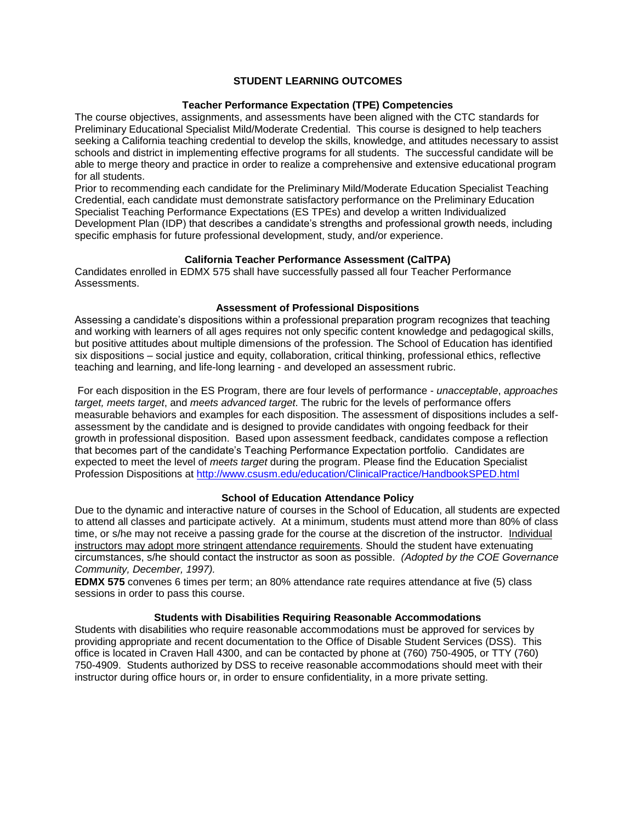## **STUDENT LEARNING OUTCOMES**

### **Teacher Performance Expectation (TPE) Competencies**

The course objectives, assignments, and assessments have been aligned with the CTC standards for Preliminary Educational Specialist Mild/Moderate Credential. This course is designed to help teachers seeking a California teaching credential to develop the skills, knowledge, and attitudes necessary to assist schools and district in implementing effective programs for all students. The successful candidate will be able to merge theory and practice in order to realize a comprehensive and extensive educational program for all students.

Prior to recommending each candidate for the Preliminary Mild/Moderate Education Specialist Teaching Credential, each candidate must demonstrate satisfactory performance on the Preliminary Education Specialist Teaching Performance Expectations (ES TPEs) and develop a written Individualized Development Plan (IDP) that describes a candidate's strengths and professional growth needs, including specific emphasis for future professional development, study, and/or experience.

## **California Teacher Performance Assessment (CalTPA)**

Candidates enrolled in EDMX 575 shall have successfully passed all four Teacher Performance Assessments.

## **Assessment of Professional Dispositions**

Assessing a candidate's dispositions within a professional preparation program recognizes that teaching and working with learners of all ages requires not only specific content knowledge and pedagogical skills, but positive attitudes about multiple dimensions of the profession. The School of Education has identified six dispositions – social justice and equity, collaboration, critical thinking, professional ethics, reflective teaching and learning, and life-long learning - and developed an assessment rubric.

For each disposition in the ES Program, there are four levels of performance - *unacceptable*, *approaches target, meets target*, and *meets advanced target*. The rubric for the levels of performance offers measurable behaviors and examples for each disposition. The assessment of dispositions includes a selfassessment by the candidate and is designed to provide candidates with ongoing feedback for their growth in professional disposition. Based upon assessment feedback, candidates compose a reflection that becomes part of the candidate's Teaching Performance Expectation portfolio. Candidates are expected to meet the level of *meets target* during the program. Please find the Education Specialist Profession Dispositions at [http://www.csusm.edu/education/ClinicalPractice/HandbookSPED.html](https://bl2prd0510.outlook.com/owa/redir.aspx?C=BCCRQqSYiUGfF8D5o1hWda_4K252ddAIWfHJ-9hEDukuBafQrA7uFT9QzjT3BGXTnuKNALZtCyo.&URL=http%3a%2f%2fwww.csusm.edu%2feducation%2fClinicalPractice%2fHandbookSPED.html)

#### **School of Education Attendance Policy**

Due to the dynamic and interactive nature of courses in the School of Education, all students are expected to attend all classes and participate actively. At a minimum, students must attend more than 80% of class time, or s/he may not receive a passing grade for the course at the discretion of the instructor. Individual instructors may adopt more stringent attendance requirements. Should the student have extenuating circumstances, s/he should contact the instructor as soon as possible. *(Adopted by the COE Governance Community, December, 1997).*

**EDMX 575** convenes 6 times per term; an 80% attendance rate requires attendance at five (5) class sessions in order to pass this course.

#### **Students with Disabilities Requiring Reasonable Accommodations**

Students with disabilities who require reasonable accommodations must be approved for services by providing appropriate and recent documentation to the Office of Disable Student Services (DSS). This office is located in Craven Hall 4300, and can be contacted by phone at (760) 750-4905, or TTY (760) 750-4909. Students authorized by DSS to receive reasonable accommodations should meet with their instructor during office hours or, in order to ensure confidentiality, in a more private setting.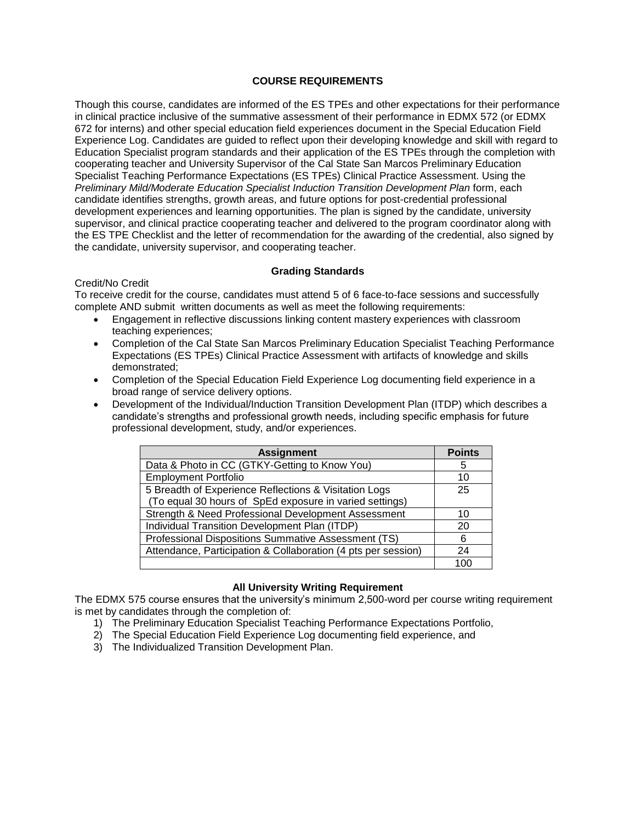## **COURSE REQUIREMENTS**

Though this course, candidates are informed of the ES TPEs and other expectations for their performance in clinical practice inclusive of the summative assessment of their performance in EDMX 572 (or EDMX 672 for interns) and other special education field experiences document in the Special Education Field Experience Log. Candidates are guided to reflect upon their developing knowledge and skill with regard to Education Specialist program standards and their application of the ES TPEs through the completion with cooperating teacher and University Supervisor of the Cal State San Marcos Preliminary Education Specialist Teaching Performance Expectations (ES TPEs) Clinical Practice Assessment. Using the *Preliminary Mild/Moderate Education Specialist Induction Transition Development Plan* form, each candidate identifies strengths, growth areas, and future options for post-credential professional development experiences and learning opportunities. The plan is signed by the candidate, university supervisor, and clinical practice cooperating teacher and delivered to the program coordinator along with the ES TPE Checklist and the letter of recommendation for the awarding of the credential, also signed by the candidate, university supervisor, and cooperating teacher.

## **Grading Standards**

## Credit/No Credit

To receive credit for the course, candidates must attend 5 of 6 face-to-face sessions and successfully complete AND submit written documents as well as meet the following requirements:

- Engagement in reflective discussions linking content mastery experiences with classroom teaching experiences;
- Completion of the Cal State San Marcos Preliminary Education Specialist Teaching Performance Expectations (ES TPEs) Clinical Practice Assessment with artifacts of knowledge and skills demonstrated;
- Completion of the Special Education Field Experience Log documenting field experience in a broad range of service delivery options.
- Development of the Individual/Induction Transition Development Plan (ITDP) which describes a candidate's strengths and professional growth needs, including specific emphasis for future professional development, study, and/or experiences.

| <b>Assignment</b>                                             | <b>Points</b> |
|---------------------------------------------------------------|---------------|
| Data & Photo in CC (GTKY-Getting to Know You)                 | 5             |
| <b>Employment Portfolio</b>                                   | 10            |
| 5 Breadth of Experience Reflections & Visitation Logs         | 25            |
| (To equal 30 hours of SpEd exposure in varied settings)       |               |
| Strength & Need Professional Development Assessment           | 10            |
| Individual Transition Development Plan (ITDP)                 | 20            |
| Professional Dispositions Summative Assessment (TS)           | 6             |
| Attendance, Participation & Collaboration (4 pts per session) | 24            |
|                                                               |               |

# **All University Writing Requirement**

The EDMX 575 course ensures that the university's minimum 2,500-word per course writing requirement is met by candidates through the completion of:

- 1) The Preliminary Education Specialist Teaching Performance Expectations Portfolio,
- 2) The Special Education Field Experience Log documenting field experience, and
- 3) The Individualized Transition Development Plan.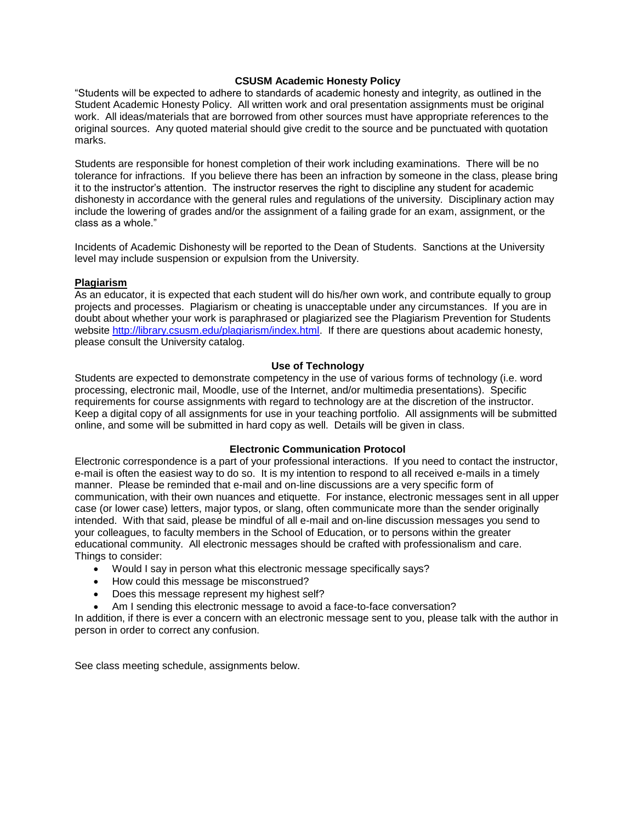## **CSUSM Academic Honesty Policy**

"Students will be expected to adhere to standards of academic honesty and integrity, as outlined in the Student Academic Honesty Policy. All written work and oral presentation assignments must be original work. All ideas/materials that are borrowed from other sources must have appropriate references to the original sources. Any quoted material should give credit to the source and be punctuated with quotation marks.

Students are responsible for honest completion of their work including examinations. There will be no tolerance for infractions. If you believe there has been an infraction by someone in the class, please bring it to the instructor's attention. The instructor reserves the right to discipline any student for academic dishonesty in accordance with the general rules and regulations of the university. Disciplinary action may include the lowering of grades and/or the assignment of a failing grade for an exam, assignment, or the class as a whole."

Incidents of Academic Dishonesty will be reported to the Dean of Students. Sanctions at the University level may include suspension or expulsion from the University.

### **Plagiarism**

As an educator, it is expected that each student will do his/her own work, and contribute equally to group projects and processes. Plagiarism or cheating is unacceptable under any circumstances. If you are in doubt about whether your work is paraphrased or plagiarized see the Plagiarism Prevention for Students website [http://library.csusm.edu/plagiarism/index.html.](http://library.csusm.edu/plagiarism/index.html) If there are questions about academic honesty, please consult the University catalog.

### **Use of Technology**

Students are expected to demonstrate competency in the use of various forms of technology (i.e. word processing, electronic mail, Moodle, use of the Internet, and/or multimedia presentations). Specific requirements for course assignments with regard to technology are at the discretion of the instructor. Keep a digital copy of all assignments for use in your teaching portfolio. All assignments will be submitted online, and some will be submitted in hard copy as well. Details will be given in class.

#### **Electronic Communication Protocol**

Electronic correspondence is a part of your professional interactions. If you need to contact the instructor, e-mail is often the easiest way to do so. It is my intention to respond to all received e-mails in a timely manner. Please be reminded that e-mail and on-line discussions are a very specific form of communication, with their own nuances and etiquette. For instance, electronic messages sent in all upper case (or lower case) letters, major typos, or slang, often communicate more than the sender originally intended. With that said, please be mindful of all e-mail and on-line discussion messages you send to your colleagues, to faculty members in the School of Education, or to persons within the greater educational community. All electronic messages should be crafted with professionalism and care. Things to consider:

- Would I say in person what this electronic message specifically says?
- How could this message be misconstrued?
- Does this message represent my highest self?
- Am I sending this electronic message to avoid a face-to-face conversation?

In addition, if there is ever a concern with an electronic message sent to you, please talk with the author in person in order to correct any confusion.

See class meeting schedule, assignments below.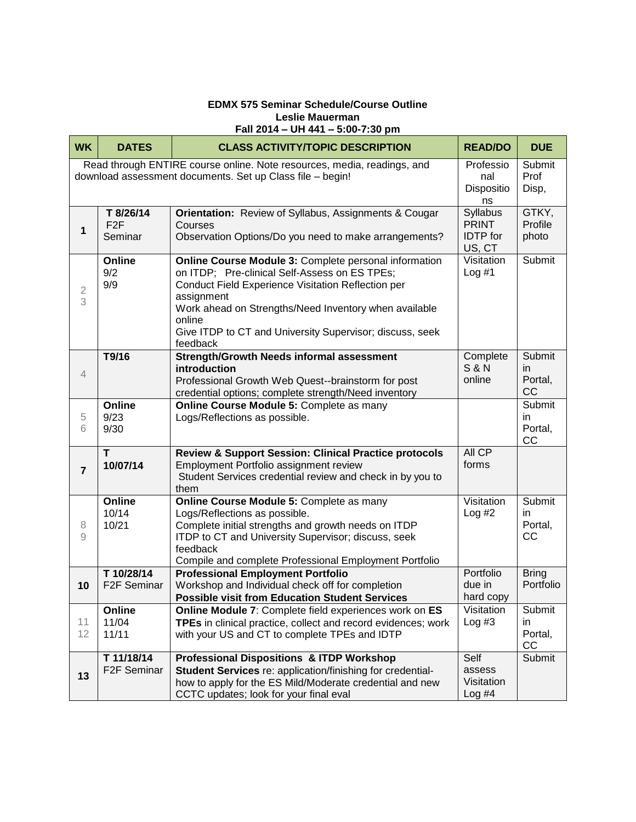# **EDMX 575 Seminar Schedule/Course Outline Leslie Mauerman Fall 2014 – UH 441 – 5:00-7:30 pm**

| <b>WK</b>                                                                                                                            | <b>DATES</b>                             | <b>CLASS ACTIVITY/TOPIC DESCRIPTION</b>                                                                                                                                                                                                                                                                               | <b>READ/DO</b>                                        | <b>DUE</b>                     |
|--------------------------------------------------------------------------------------------------------------------------------------|------------------------------------------|-----------------------------------------------------------------------------------------------------------------------------------------------------------------------------------------------------------------------------------------------------------------------------------------------------------------------|-------------------------------------------------------|--------------------------------|
| Read through ENTIRE course online. Note resources, media, readings, and<br>download assessment documents. Set up Class file - begin! |                                          |                                                                                                                                                                                                                                                                                                                       | Professio<br>nal<br>Dispositio<br>ns                  | Submit<br>Prof<br>Disp,        |
| 1                                                                                                                                    | T 8/26/14<br>F <sub>2</sub> F<br>Seminar | Orientation: Review of Syllabus, Assignments & Cougar<br>Courses<br>Observation Options/Do you need to make arrangements?                                                                                                                                                                                             | Syllabus<br><b>PRINT</b><br><b>IDTP</b> for<br>US, CT | GTKY,<br>Profile<br>photo      |
| $\overline{\mathcal{L}}$<br>3                                                                                                        | Online<br>9/2<br>9/9                     | Online Course Module 3: Complete personal information<br>on ITDP; Pre-clinical Self-Assess on ES TPEs;<br>Conduct Field Experience Visitation Reflection per<br>assignment<br>Work ahead on Strengths/Need Inventory when available<br>online<br>Give ITDP to CT and University Supervisor; discuss, seek<br>feedback | Visitation<br>Log #1                                  | Submit                         |
| $\overline{4}$                                                                                                                       | T9/16                                    | <b>Strength/Growth Needs informal assessment</b><br>introduction<br>Professional Growth Web Quest--brainstorm for post<br>credential options; complete strength/Need inventory                                                                                                                                        | Complete<br><b>S&amp;N</b><br>online                  | Submit<br>in<br>Portal,<br>CC  |
| 5<br>6                                                                                                                               | Online<br>9/23<br>9/30                   | Online Course Module 5: Complete as many<br>Logs/Reflections as possible.                                                                                                                                                                                                                                             |                                                       | Submit<br>in<br>Portal,<br>CC  |
| $\overline{7}$                                                                                                                       | T.<br>10/07/14                           | <b>Review &amp; Support Session: Clinical Practice protocols</b><br>Employment Portfolio assignment review<br>Student Services credential review and check in by you to<br>them                                                                                                                                       | All CP<br>forms                                       |                                |
| 8<br>9                                                                                                                               | Online<br>10/14<br>10/21                 | Online Course Module 5: Complete as many<br>Logs/Reflections as possible.<br>Complete initial strengths and growth needs on ITDP<br>ITDP to CT and University Supervisor; discuss, seek<br>feedback<br>Compile and complete Professional Employment Portfolio                                                         | Visitation<br>Log #2                                  | Submit<br>in.<br>Portal,<br>CC |
| 10                                                                                                                                   | T 10/28/14<br>F2F Seminar                | <b>Professional Employment Portfolio</b><br>Workshop and Individual check off for completion<br><b>Possible visit from Education Student Services</b>                                                                                                                                                                 | Portfolio<br>due in<br>hard copy                      | <b>Bring</b><br>Portfolio      |
| 11<br>12                                                                                                                             | Online<br>11/04<br>11/11                 | Online Module 7: Complete field experiences work on ES<br>TPEs in clinical practice, collect and record evidences; work<br>with your US and CT to complete TPEs and IDTP                                                                                                                                              | Visitation<br>Log #3                                  | Submit<br>in<br>Portal,<br>CC  |
| 13                                                                                                                                   | T 11/18/14<br>F <sub>2</sub> F Seminar   | <b>Professional Dispositions &amp; ITDP Workshop</b><br>Student Services re: application/finishing for credential-<br>how to apply for the ES Mild/Moderate credential and new<br>CCTC updates; look for your final eval                                                                                              | Self<br>assess<br>Visitation<br>$Log$ #4              | Submit                         |